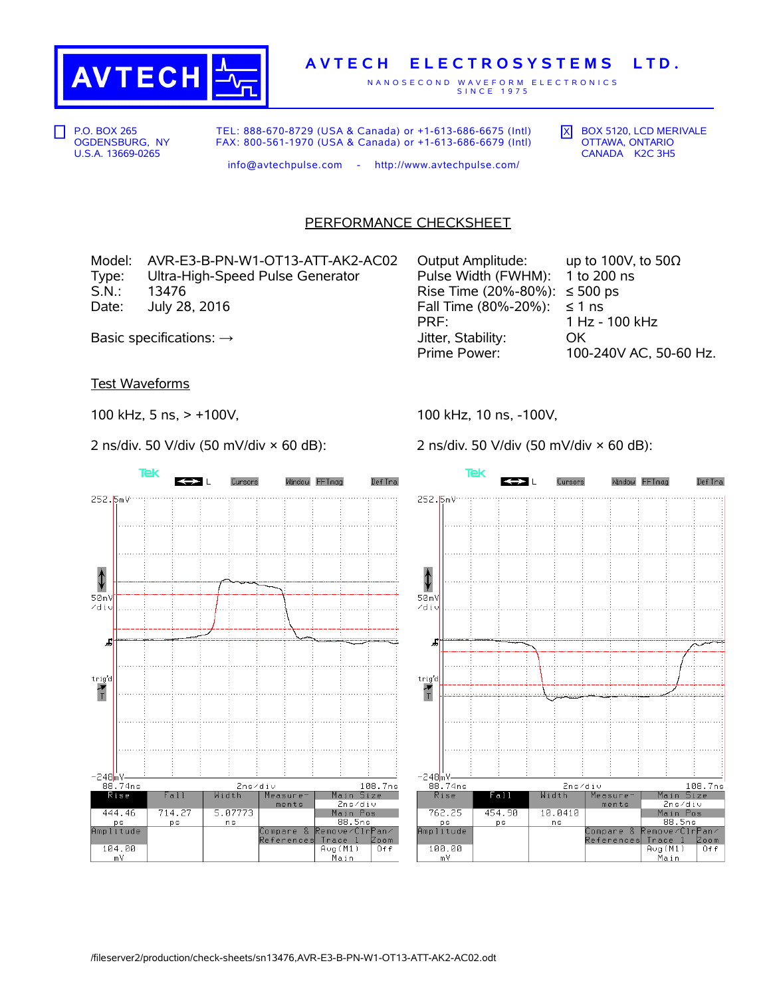

## **A V T E C H E L E C T R O S Y S T E M S L T D .**

N A N O S E C O N D W A V E F O R M E L E C T R O N I C S S I N C E 1 9 7 5

P.O. BOX 265 OGDENSBURG, NY U.S.A. 13669-0265

TEL: 888-670-8729 (USA & Canada) or +1-613-686-6675 (Intl) FAX: 800-561-1970 (USA & Canada) or +1-613-686-6679 (Intl)  $\overline{X}$  BOX 5120, LCD MERIVALE OTTAWA, ONTARIO CANADA K2C 3H5

info@avtechpulse.com - http://www.avtechpulse.com/

## PERFORMANCE CHECKSHEET

Model: AVR-E3-B-PN-W1-OT13-ATT-AK2-AC02 C Type: Ultra-High-Speed Pulse Generator Pulse Pulse Width (Fulse Width (Fulse Pulse Pulse Pulse Pulse Pulse Pul<br>R S.N.: 13476 Rise Time (20%-80%): ≤ 500 ps Date: July 28, 2016 Fall Time (80%-20%): Space (80%-20%): E

| Output Amplitude:                         | up to 100V, to 50 $\Omega$ |
|-------------------------------------------|----------------------------|
| Pulse Width (FWHM): 1 to 200 ns           |                            |
| Rise Time $(20\% - 80\%)$ : $\leq 500$ ps |                            |
| Fall Time $(80\% - 20\%)$ : $\leq 1$ ns   |                            |
| PRF:                                      | 1 Hz - 100 kHz             |
| Jitter, Stability:                        | OK.                        |
| Prime Power:                              | 100-240V AC, 50-60 Hz.     |

Basic specifications:  $\rightarrow$ 

Test Waveforms

Tek

252.5mV

⇕  $50mV$ 

zdiu

 $trig'd$ 

 $\frac{1}{T}$ 

—248mV<br>88.74ns

 $\overline{R}$ ise

444.46

ps<br>Amplitude

104.00

 $\frac{1}{m}$ 

£

100 kHz, 5 ns, > +100V,

2 ns/div. 50 V/div (50 mV/div × 60 dB):

Cursors

100 kHz, 10 ns, -100V,

2 ns/div. 50 V/div (50 mV/div × 60 dB):





2ns/div

Measure

 $ments$ 

Compare &<br>References

Width

5.07773

n s

Fall

714.27

**ps**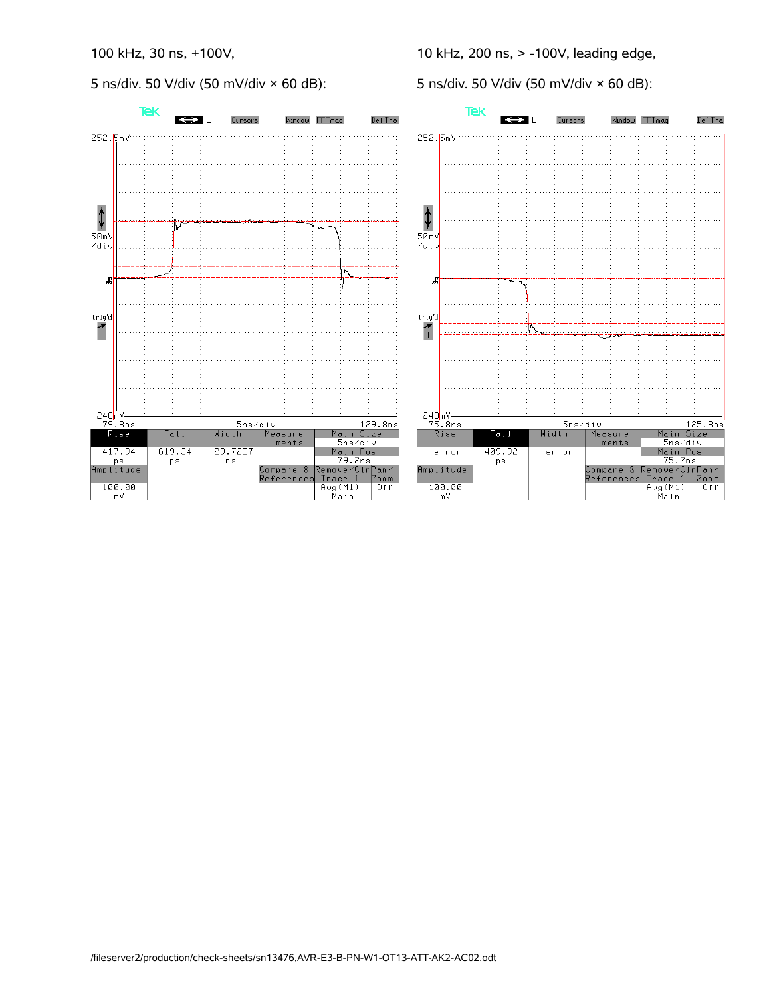5 ns/div. 50 V/div (50 mV/div × 60 dB):

10 kHz, 200 ns, > -100V, leading edge,

5 ns/div. 50 V/div (50 mV/div × 60 dB):